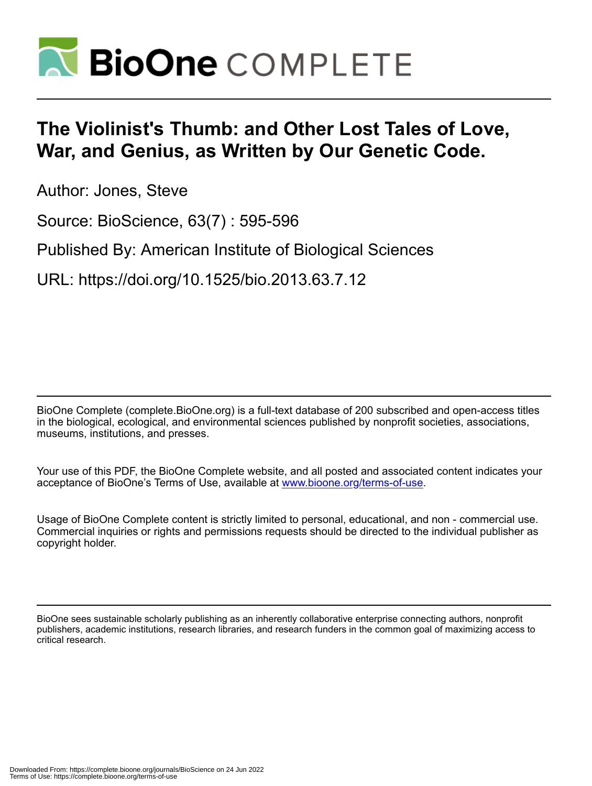

## **The Violinist's Thumb: and Other Lost Tales of Love, War, and Genius, as Written by Our Genetic Code.**

Author: Jones, Steve

Source: BioScience, 63(7) : 595-596

Published By: American Institute of Biological Sciences

URL: https://doi.org/10.1525/bio.2013.63.7.12

BioOne Complete (complete.BioOne.org) is a full-text database of 200 subscribed and open-access titles in the biological, ecological, and environmental sciences published by nonprofit societies, associations, museums, institutions, and presses.

Your use of this PDF, the BioOne Complete website, and all posted and associated content indicates your acceptance of BioOne's Terms of Use, available at www.bioone.org/terms-of-use.

Usage of BioOne Complete content is strictly limited to personal, educational, and non - commercial use. Commercial inquiries or rights and permissions requests should be directed to the individual publisher as copyright holder.

BioOne sees sustainable scholarly publishing as an inherently collaborative enterprise connecting authors, nonprofit publishers, academic institutions, research libraries, and research funders in the common goal of maximizing access to critical research.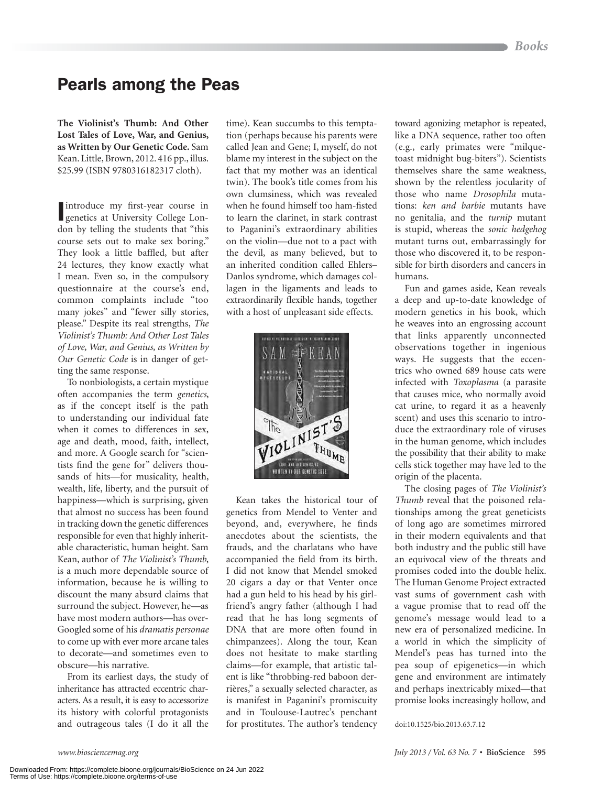## Pearls among the Peas

**The Violinist's Thumb: And Other Lost Tales of Love, War, and Genius, as Written by Our Genetic Code.** Sam Kean. Little, Brown, 2012. 416 pp., illus. \$25.99 (ISBN 9780316182317 cloth).

I introduce my first-year course in genetics at University College London by telling the students that "this course sets out to make sex boring." They look a little baffled, but after 24 lectures, they know exactly what I mean. Even so, in the compulsory questionnaire at the course's end, common complaints include "too many jokes" and "fewer silly stories, please." Despite its real strengths, *The Violinist's Thumb: And Other Lost Tales of Love, War, and Genius, as Written by Our Genetic Code* is in danger of getting the same response.

To nonbiologists, a certain mystique often accompanies the term *genetics*, as if the concept itself is the path to understanding our individual fate when it comes to differences in sex, age and death, mood, faith, intellect, and more. A Google search for "scientists find the gene for" delivers thousands of hits—for musicality, health, wealth, life, liberty, and the pursuit of happiness—which is surprising, given that almost no success has been found in tracking down the genetic differences responsible for even that highly inheritable characteristic, human height. Sam Kean, author of *The Violinist's Thumb*, is a much more dependable source of information, because he is willing to discount the many absurd claims that surround the subject. However, he—as have most modern authors—has over-Googled some of his *dramatis personae* to come up with ever more arcane tales to decorate—and sometimes even to obscure—his narrative.

From its earliest days, the study of inheritance has attracted eccentric characters. As a result, it is easy to accessorize its history with colorful protagonists and outrageous tales (I do it all the

time). Kean succumbs to this temptation (perhaps because his parents were called Jean and Gene; I, myself, do not blame my interest in the subject on the fact that my mother was an identical twin). The book's title comes from his own clumsiness, which was revealed when he found himself too ham-fisted to learn the clarinet, in stark contrast to Paganini's extraordinary abilities on the violin—due not to a pact with the devil, as many believed, but to an inherited condition called Ehlers– Danlos syndrome, which damages collagen in the ligaments and leads to extraordinarily flexible hands, together with a host of unpleasant side effects.



Kean takes the historical tour of genetics from Mendel to Venter and beyond, and, everywhere, he finds anecdotes about the scientists, the frauds, and the charlatans who have accompanied the field from its birth. I did not know that Mendel smoked 20 cigars a day or that Venter once had a gun held to his head by his girlfriend's angry father (although I had read that he has long segments of DNA that are more often found in chimpanzees). Along the tour, Kean does not hesitate to make startling claims—for example, that artistic talent is like "throbbing-red baboon derrières," a sexually selected character, as is manifest in Paganini's promiscuity and in Toulouse-Lautrec's penchant for prostitutes. The author's tendency toward agonizing metaphor is repeated, like a DNA sequence, rather too often (e.g., early primates were "milquetoast midnight bug-biters"). Scientists themselves share the same weakness, shown by the relentless jocularity of those who name *Drosophila* mutations: *ken and barbie* mutants have no genitalia, and the *turnip* mutant is stupid, whereas the *sonic hedgehog* mutant turns out, embarrassingly for those who discovered it, to be responsible for birth disorders and cancers in humans.

Fun and games aside, Kean reveals a deep and up-to-date knowledge of modern genetics in his book, which he weaves into an engrossing account that links apparently unconnected observations together in ingenious ways. He suggests that the eccentrics who owned 689 house cats were infected with *Toxoplasma* (a parasite that causes mice, who normally avoid cat urine, to regard it as a heavenly scent) and uses this scenario to introduce the extraordinary role of viruses in the human genome, which includes the possibility that their ability to make cells stick together may have led to the origin of the placenta.

The closing pages of *The Violinist's Thumb* reveal that the poisoned relationships among the great geneticists of long ago are sometimes mirrored in their modern equivalents and that both industry and the public still have an equivocal view of the threats and promises coded into the double helix. The Human Genome Project extracted vast sums of government cash with a vague promise that to read off the genome's message would lead to a new era of personalized medicine. In a world in which the simplicity of Mendel's peas has turned into the pea soup of epigenetics—in which gene and environment are intimately and perhaps inextricably mixed—that promise looks increasingly hollow, and

doi:10.1525/bio.2013.63.7.12